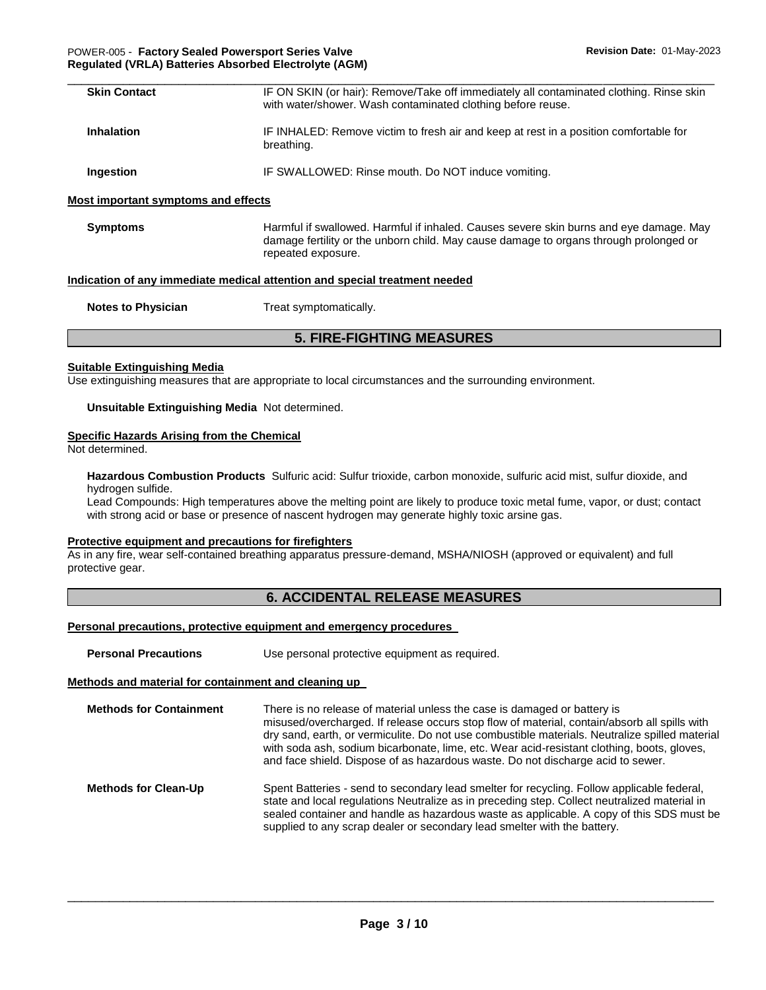| <b>Skin Contact</b> | IF ON SKIN (or hair): Remove/Take off immediately all contaminated clothing. Rinse skin<br>with water/shower. Wash contaminated clothing before reuse. |
|---------------------|--------------------------------------------------------------------------------------------------------------------------------------------------------|
| <b>Inhalation</b>   | IF INHALED: Remove victim to fresh air and keep at rest in a position comfortable for<br>breathing.                                                    |
| Ingestion           | IF SWALLOWED: Rinse mouth. Do NOT induce vomiting.                                                                                                     |

**Symptoms** Harmful if swallowed. Harmful if inhaled. Causes severe skin burns and eye damage. May damage fertility or the unborn child. May cause damage to organs through prolonged or repeated exposure.

### **Indication of any immediate medical attention and special treatment needed**

| <b>Notes to Physician</b> | Treat symptomatically. |
|---------------------------|------------------------|
|---------------------------|------------------------|

# **5. FIRE-FIGHTING MEASURES**

## **Suitable Extinguishing Media**

Use extinguishing measures that are appropriate to local circumstances and the surrounding environment.

## **Unsuitable Extinguishing Media** Not determined.

### **Specific Hazards Arising from the Chemical**

Not determined.

**Hazardous Combustion Products** Sulfuric acid: Sulfur trioxide, carbon monoxide, sulfuric acid mist, sulfur dioxide, and hydrogen sulfide.

Lead Compounds: High temperatures above the melting point are likely to produce toxic metal fume, vapor, or dust; contact with strong acid or base or presence of nascent hydrogen may generate highly toxic arsine gas.

## **Protective equipment and precautions for firefighters**

As in any fire, wear self-contained breathing apparatus pressure-demand, MSHA/NIOSH (approved or equivalent) and full protective gear.

# **6. ACCIDENTAL RELEASE MEASURES**

#### **Personal precautions, protective equipment and emergency procedures**

| <b>Personal Precautions</b>                          | Use personal protective equipment as required.                                                                                                                                                                                                                                                                                                                                                                                                              |  |  |  |  |
|------------------------------------------------------|-------------------------------------------------------------------------------------------------------------------------------------------------------------------------------------------------------------------------------------------------------------------------------------------------------------------------------------------------------------------------------------------------------------------------------------------------------------|--|--|--|--|
| Methods and material for containment and cleaning up |                                                                                                                                                                                                                                                                                                                                                                                                                                                             |  |  |  |  |
| <b>Methods for Containment</b>                       | There is no release of material unless the case is damaged or battery is<br>misused/overcharged. If release occurs stop flow of material, contain/absorb all spills with<br>dry sand, earth, or vermiculite. Do not use combustible materials. Neutralize spilled material<br>with soda ash, sodium bicarbonate, lime, etc. Wear acid-resistant clothing, boots, gloves,<br>and face shield. Dispose of as hazardous waste. Do not discharge acid to sewer. |  |  |  |  |
| <b>Methods for Clean-Up</b>                          | Spent Batteries - send to secondary lead smelter for recycling. Follow applicable federal,<br>state and local regulations Neutralize as in preceding step. Collect neutralized material in<br>sealed container and handle as hazardous waste as applicable. A copy of this SDS must be<br>supplied to any scrap dealer or secondary lead smelter with the battery.                                                                                          |  |  |  |  |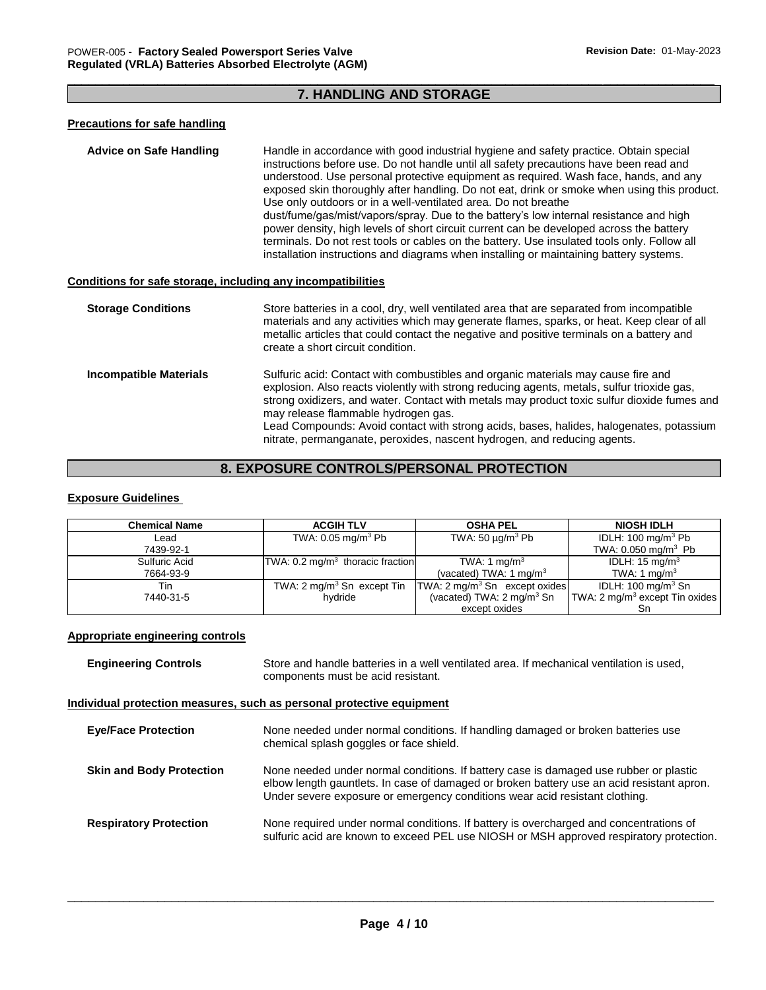## \_\_\_\_\_\_\_\_\_\_\_\_\_\_\_\_\_\_\_\_\_\_\_\_\_\_\_\_\_\_\_\_\_\_\_\_\_\_\_\_\_\_\_\_\_\_\_\_\_\_\_\_\_\_\_\_\_\_\_\_\_\_\_\_\_\_\_\_\_\_\_\_\_\_\_\_\_\_\_\_\_\_\_\_\_\_\_\_\_\_\_\_\_ **7. HANDLING AND STORAGE**

## **Precautions for safe handling**

**Advice on Safe Handling** Handle in accordance with good industrial hygiene and safety practice. Obtain special instructions before use. Do not handle until all safety precautions have been read and understood. Use personal protective equipment as required. Wash face, hands, and any exposed skin thoroughly after handling. Do not eat, drink or smoke when using this product. Use only outdoors or in a well-ventilated area. Do not breathe dust/fume/gas/mist/vapors/spray. Due to the battery's low internal resistance and high power density, high levels of short circuit current can be developed across the battery terminals. Do not rest tools or cables on the battery. Use insulated tools only. Follow all installation instructions and diagrams when installing or maintaining battery systems.

## **Conditions for safe storage, including any incompatibilities**

| <b>Storage Conditions</b>     | Store batteries in a cool, dry, well ventilated area that are separated from incompatible<br>materials and any activities which may generate flames, sparks, or heat. Keep clear of all<br>metallic articles that could contact the negative and positive terminals on a battery and<br>create a short circuit condition.                                                                                                                                                                    |
|-------------------------------|----------------------------------------------------------------------------------------------------------------------------------------------------------------------------------------------------------------------------------------------------------------------------------------------------------------------------------------------------------------------------------------------------------------------------------------------------------------------------------------------|
| <b>Incompatible Materials</b> | Sulfuric acid: Contact with combustibles and organic materials may cause fire and<br>explosion. Also reacts violently with strong reducing agents, metals, sulfur trioxide gas,<br>strong oxidizers, and water. Contact with metals may product toxic sulfur dioxide fumes and<br>may release flammable hydrogen gas.<br>Lead Compounds: Avoid contact with strong acids, bases, halides, halogenates, potassium<br>nitrate, permanganate, peroxides, nascent hydrogen, and reducing agents. |

# **8. EXPOSURE CONTROLS/PERSONAL PROTECTION**

## **Exposure Guidelines**

| <b>Chemical Name</b> | <b>ACGIH TLV</b>                            | <b>OSHA PEL</b>                          | <b>NIOSH IDLH</b>                          |
|----------------------|---------------------------------------------|------------------------------------------|--------------------------------------------|
| Lead                 | TWA: $0.05$ mg/m <sup>3</sup> Pb            | TWA: 50 $\mu$ g/m <sup>3</sup> Pb        | IDLH: $100 \text{ mg/m}^3$ Pb              |
| 7439-92-1            |                                             |                                          | TWA: $0.050$ mg/m <sup>3</sup> Pb          |
| Sulfuric Acid        | TWA: $0.2 \text{ mg/m}^3$ thoracic fraction | TWA: 1 mg/m <sup>3</sup>                 | IDLH: $15 \text{ mg/m}^3$                  |
| 7664-93-9            |                                             | (vacated) TWA: 1 mg/m <sup>3</sup>       | TWA: 1 mg/m <sup>3</sup>                   |
| Tin                  | TWA: $2 \text{ mg/m}^3$ Sn except Tin       | TWA: $2 \text{ mq/m}^3$ Sn except oxides | IDLH: $100 \text{ mg/m}^3$ Sn              |
| 7440-31-5            | hvdride                                     | (vacated) TWA: $2 \text{ mg/m}^3$ Sn     | TWA: 2 mg/m <sup>3</sup> except Tin oxides |
|                      |                                             | except oxides                            | Sn                                         |

## **Appropriate engineering controls**

| <b>Engineering Controls</b> | Store and handle batteries in a well ventilated area. If mechanical ventilation is used, |
|-----------------------------|------------------------------------------------------------------------------------------|
|                             | components must be acid resistant.                                                       |

#### **Individual protection measures, such as personal protective equipment**

| <b>Eye/Face Protection</b>      | None needed under normal conditions. If handling damaged or broken batteries use<br>chemical splash goggles or face shield.                                                                                                                                       |
|---------------------------------|-------------------------------------------------------------------------------------------------------------------------------------------------------------------------------------------------------------------------------------------------------------------|
| <b>Skin and Body Protection</b> | None needed under normal conditions. If battery case is damaged use rubber or plastic<br>elbow length gauntlets. In case of damaged or broken battery use an acid resistant apron.<br>Under severe exposure or emergency conditions wear acid resistant clothing. |
| <b>Respiratory Protection</b>   | None required under normal conditions. If battery is overcharged and concentrations of<br>sulfuric acid are known to exceed PEL use NIOSH or MSH approved respiratory protection.                                                                                 |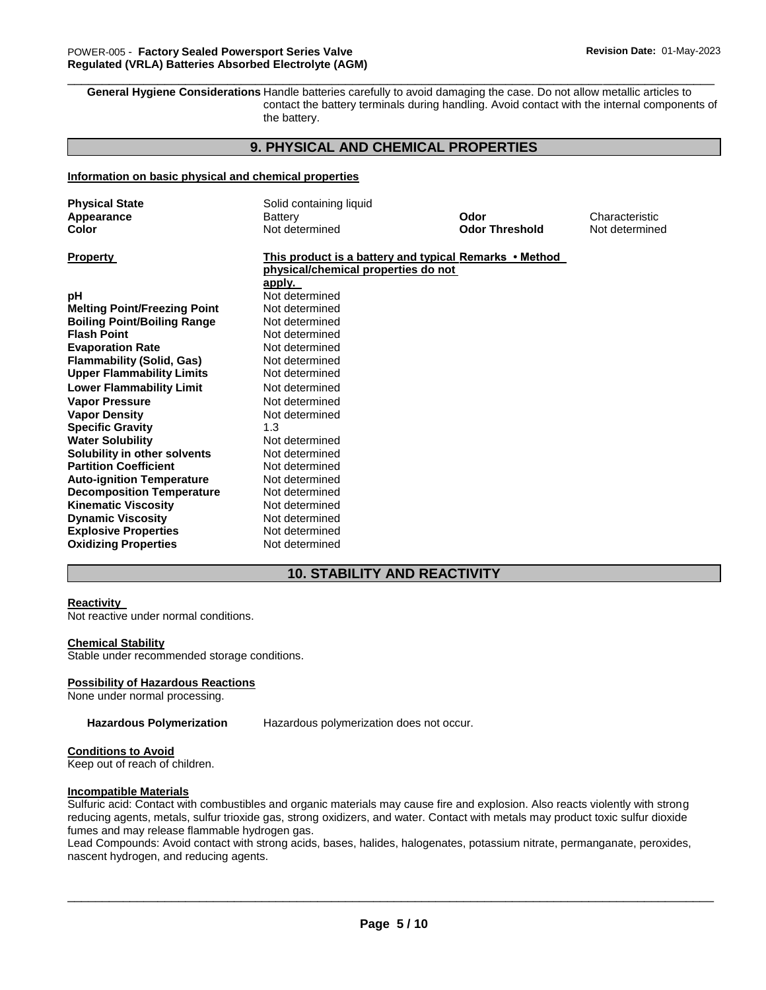**General Hygiene Considerations** Handle batteries carefully to avoid damaging the case. Do not allow metallic articles to contact the battery terminals during handling. Avoid contact with the internal components of the battery.

\_\_\_\_\_\_\_\_\_\_\_\_\_\_\_\_\_\_\_\_\_\_\_\_\_\_\_\_\_\_\_\_\_\_\_\_\_\_\_\_\_\_\_\_\_\_\_\_\_\_\_\_\_\_\_\_\_\_\_\_\_\_\_\_\_\_\_\_\_\_\_\_\_\_\_\_\_\_\_\_\_\_\_\_\_\_\_\_\_\_\_\_\_

# **9. PHYSICAL AND CHEMICAL PROPERTIES**

#### **Information on basic physical and chemical properties**

| <b>Physical State</b><br>Appearance<br>Color | Solid containing liquid<br>Battery<br>Not determined   | Odor<br><b>Odor Threshold</b> | Characteristic<br>Not determined |
|----------------------------------------------|--------------------------------------------------------|-------------------------------|----------------------------------|
| <b>Property</b>                              | This product is a battery and typical Remarks • Method |                               |                                  |
|                                              | physical/chemical properties do not                    |                               |                                  |
|                                              | apply.<br>Not determined                               |                               |                                  |
| рH                                           |                                                        |                               |                                  |
| <b>Melting Point/Freezing Point</b>          | Not determined                                         |                               |                                  |
| <b>Boiling Point/Boiling Range</b>           | Not determined                                         |                               |                                  |
| <b>Flash Point</b>                           | Not determined                                         |                               |                                  |
| <b>Evaporation Rate</b>                      | Not determined                                         |                               |                                  |
| <b>Flammability (Solid, Gas)</b>             | Not determined                                         |                               |                                  |
| <b>Upper Flammability Limits</b>             | Not determined                                         |                               |                                  |
| <b>Lower Flammability Limit</b>              | Not determined                                         |                               |                                  |
| <b>Vapor Pressure</b>                        | Not determined                                         |                               |                                  |
| <b>Vapor Density</b>                         | Not determined                                         |                               |                                  |
| <b>Specific Gravity</b>                      | 1.3                                                    |                               |                                  |
| <b>Water Solubility</b>                      | Not determined                                         |                               |                                  |
| Solubility in other solvents                 | Not determined                                         |                               |                                  |
| <b>Partition Coefficient</b>                 | Not determined                                         |                               |                                  |
| <b>Auto-ignition Temperature</b>             | Not determined                                         |                               |                                  |
| <b>Decomposition Temperature</b>             | Not determined                                         |                               |                                  |
| <b>Kinematic Viscosity</b>                   | Not determined                                         |                               |                                  |
| <b>Dynamic Viscosity</b>                     | Not determined                                         |                               |                                  |
| <b>Explosive Properties</b>                  | Not determined                                         |                               |                                  |
| <b>Oxidizing Properties</b>                  | Not determined                                         |                               |                                  |

# **10. STABILITY AND REACTIVITY**

#### **Reactivity**

Not reactive under normal conditions.

#### **Chemical Stability**

Stable under recommended storage conditions.

#### **Possibility of Hazardous Reactions**

None under normal processing.

**Hazardous Polymerization** Hazardous polymerization does not occur.

#### **Conditions to Avoid**

Keep out of reach of children.

#### **Incompatible Materials**

Sulfuric acid: Contact with combustibles and organic materials may cause fire and explosion. Also reacts violently with strong reducing agents, metals, sulfur trioxide gas, strong oxidizers, and water. Contact with metals may product toxic sulfur dioxide fumes and may release flammable hydrogen gas.

Lead Compounds: Avoid contact with strong acids, bases, halides, halogenates, potassium nitrate, permanganate, peroxides, nascent hydrogen, and reducing agents.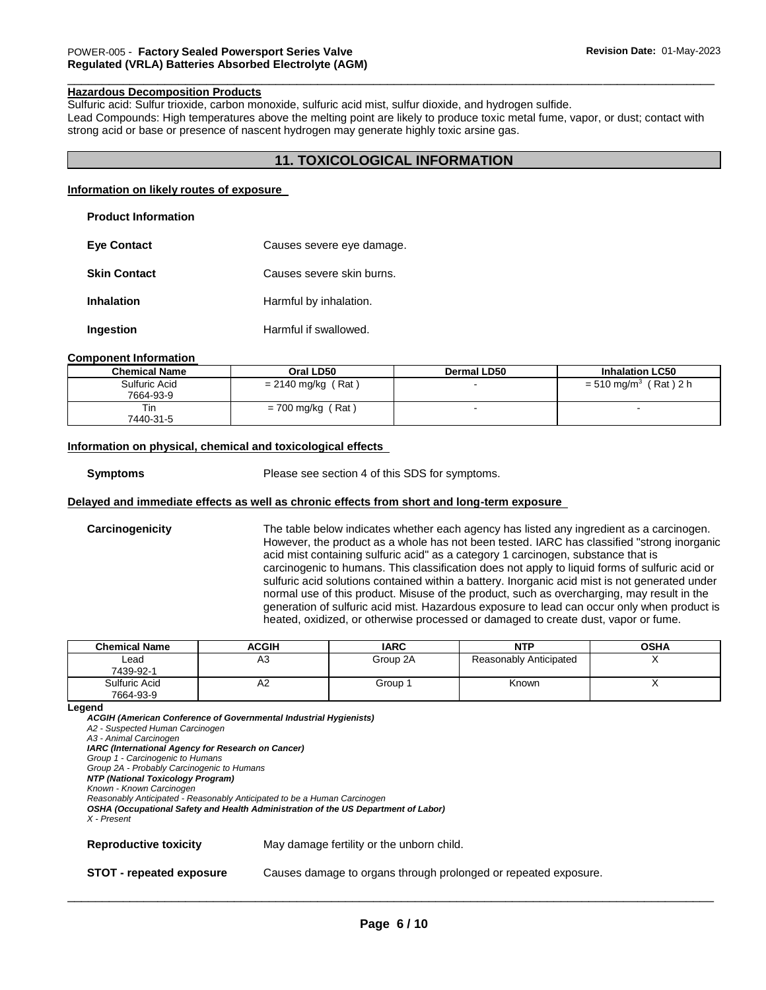#### **Hazardous Decomposition Products**

Sulfuric acid: Sulfur trioxide, carbon monoxide, sulfuric acid mist, sulfur dioxide, and hydrogen sulfide. Lead Compounds: High temperatures above the melting point are likely to produce toxic metal fume, vapor, or dust; contact with strong acid or base or presence of nascent hydrogen may generate highly toxic arsine gas.

\_\_\_\_\_\_\_\_\_\_\_\_\_\_\_\_\_\_\_\_\_\_\_\_\_\_\_\_\_\_\_\_\_\_\_\_\_\_\_\_\_\_\_\_\_\_\_\_\_\_\_\_\_\_\_\_\_\_\_\_\_\_\_\_\_\_\_\_\_\_\_\_\_\_\_\_\_\_\_\_\_\_\_\_\_\_\_\_\_\_\_\_\_

# **11. TOXICOLOGICAL INFORMATION**

#### **Information on likely routes of exposure**

| <b>Product Information</b> |
|----------------------------|
|                            |

| <b>Eve Contact</b>  | Causes severe eye damage. |
|---------------------|---------------------------|
| <b>Skin Contact</b> | Causes severe skin burns. |
| <b>Inhalation</b>   | Harmful by inhalation.    |
| Ingestion           | Harmful if swallowed.     |

#### **Component Information**

| <b>Chemical Name</b>       | Oral LD50            | <b>Dermal LD50</b> | <b>Inhalation LC50</b>              |
|----------------------------|----------------------|--------------------|-------------------------------------|
| Sulfuric Acid<br>7664-93-9 | $= 2140$ mg/kg (Rat) |                    | $= 510$ mg/m <sup>3</sup> (Rat) 2 h |
| Tin<br>7440-31-5           | $= 700$ mg/kg (Rat)  |                    |                                     |

#### **Information on physical, chemical and toxicological effects**

**Symptoms** Please see section 4 of this SDS for symptoms.

## **Delayed and immediate effects as well as chronic effects from short and long-term exposure**

**Carcinogenicity** The table below indicates whether each agency has listed any ingredient as a carcinogen. However, the product as a whole has not been tested. IARC has classified "strong inorganic acid mist containing sulfuric acid" as a category 1 carcinogen, substance that is carcinogenic to humans. This classification does not apply to liquid forms of sulfuric acid or sulfuric acid solutions contained within a battery. Inorganic acid mist is not generated under normal use of this product. Misuse of the product, such as overcharging, may result in the generation of sulfuric acid mist. Hazardous exposure to lead can occur only when product is heated, oxidized, or otherwise processed or damaged to create dust, vapor or fume.

| <b>Chemical Name</b>       | <b>ACGIH</b> | <b>IARC</b> | <b>NTP</b>             | <b>OSHA</b> |
|----------------------------|--------------|-------------|------------------------|-------------|
| Lead<br>7439-92-1          | A3           | Group 2A    | Reasonably Anticipated |             |
| Sulfuric Acid<br>7664-93-9 | A2           | Group 1     | Known                  |             |

#### **Legend**

*ACGIH (American Conference of Governmental Industrial Hygienists) A2 - Suspected Human Carcinogen A3 - Animal Carcinogen IARC (International Agency for Research on Cancer) Group 1 - Carcinogenic to Humans Group 2A - Probably Carcinogenic to Humans NTP (National Toxicology Program) Known - Known Carcinogen Reasonably Anticipated - Reasonably Anticipated to be a Human Carcinogen OSHA (Occupational Safety and Health Administration of the US Department of Labor) X - Present*  **Reproductive toxicity** May damage fertility or the unborn child. **STOT - repeated exposure** Causes damage to organs through prolonged or repeated exposure.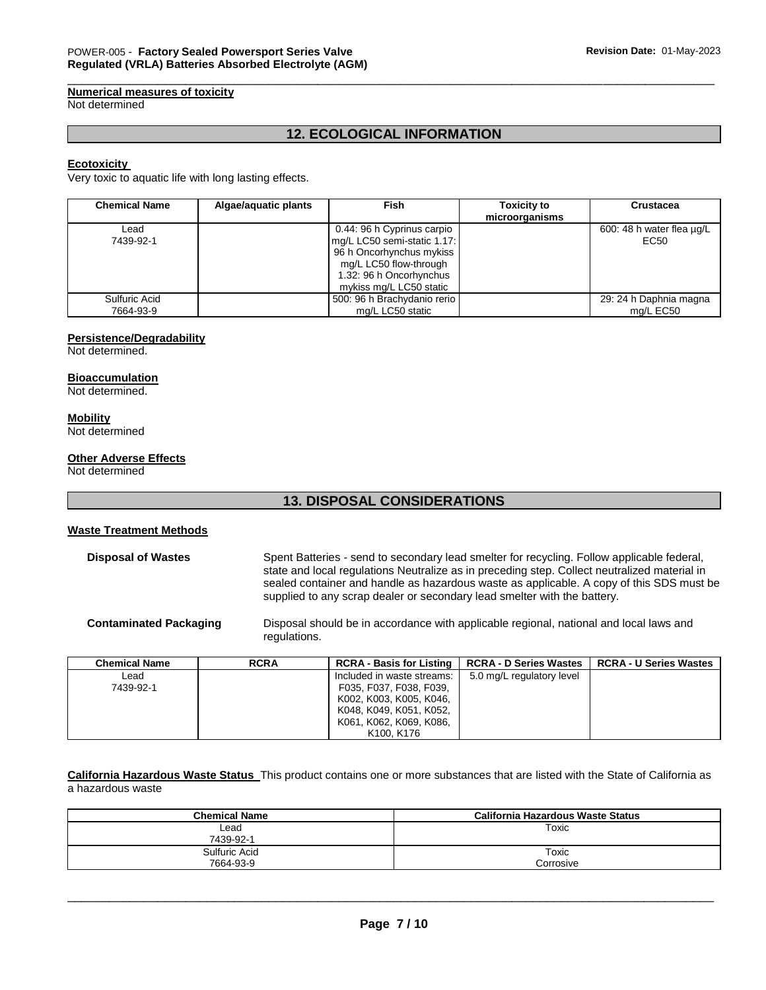# **Numerical measures of toxicity**

Not determined

# **12. ECOLOGICAL INFORMATION**

\_\_\_\_\_\_\_\_\_\_\_\_\_\_\_\_\_\_\_\_\_\_\_\_\_\_\_\_\_\_\_\_\_\_\_\_\_\_\_\_\_\_\_\_\_\_\_\_\_\_\_\_\_\_\_\_\_\_\_\_\_\_\_\_\_\_\_\_\_\_\_\_\_\_\_\_\_\_\_\_\_\_\_\_\_\_\_\_\_\_\_\_\_

### **Ecotoxicity**

Very toxic to aquatic life with long lasting effects.

| <b>Chemical Name</b>       | Algae/aquatic plants | Fish                                                                                                                                                                  | <b>Toxicity to</b><br>microorganisms | <b>Crustacea</b>                    |
|----------------------------|----------------------|-----------------------------------------------------------------------------------------------------------------------------------------------------------------------|--------------------------------------|-------------------------------------|
| Lead<br>7439-92-1          |                      | 0.44: 96 h Cyprinus carpio<br>mg/L LC50 semi-static 1.17:<br>96 h Oncorhynchus mykiss<br>mg/L LC50 flow-through<br>1.32: 96 h Oncorhynchus<br>mykiss mg/L LC50 static |                                      | 600: 48 h water flea ug/L<br>EC50   |
| Sulfuric Acid<br>7664-93-9 |                      | 500: 96 h Brachydanio rerio<br>mg/L LC50 static                                                                                                                       |                                      | 29: 24 h Daphnia magna<br>mg/L EC50 |

## **Persistence/Degradability**

Not determined.

#### **Bioaccumulation**

Not determined.

#### **Mobility**

Not determined

#### **Other Adverse Effects**

Not determined

# **13. DISPOSAL CONSIDERATIONS**

#### **Waste Treatment Methods**

**Disposal of Wastes** Spent Batteries - send to secondary lead smelter for recycling. Follow applicable federal, state and local regulations Neutralize as in preceding step. Collect neutralized material in sealed container and handle as hazardous waste as applicable. A copy of this SDS must be supplied to any scrap dealer or secondary lead smelter with the battery.

**Contaminated Packaging** Disposal should be in accordance with applicable regional, national and local laws and regulations.

| <b>Chemical Name</b> | <b>RCRA</b> | <b>RCRA - Basis for Listing</b>     | <b>RCRA - D Series Wastes</b> | <b>RCRA - U Series Wastes</b> |
|----------------------|-------------|-------------------------------------|-------------------------------|-------------------------------|
| Lead                 |             | Included in waste streams:          | 5.0 mg/L regulatory level     |                               |
| 7439-92-1            |             | F035, F037, F038, F039,             |                               |                               |
|                      |             | K002, K003, K005, K046,             |                               |                               |
|                      |             | K048, K049, K051, K052,             |                               |                               |
|                      |             | K061, K062, K069, K086,             |                               |                               |
|                      |             | K <sub>100</sub> . K <sub>176</sub> |                               |                               |

**California Hazardous Waste Status** This product contains one or more substances that are listed with the State of California as a hazardous waste

| <b>Chemical Name</b> | California Hazardous Waste Status |
|----------------------|-----------------------------------|
| ∟ead                 | Toxic                             |
| 7439-92-1            |                                   |
| Sulfuric Acid        | Toxic                             |
| 7664-93-9            | Corrosive                         |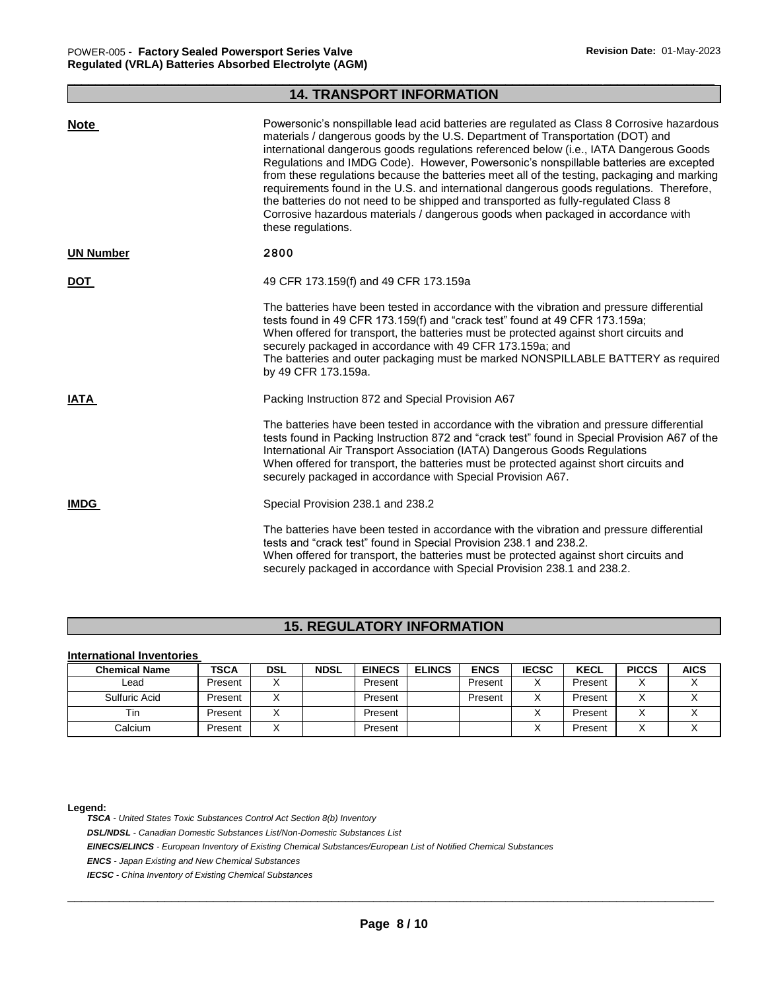# \_\_\_\_\_\_\_\_\_\_\_\_\_\_\_\_\_\_\_\_\_\_\_\_\_\_\_\_\_\_\_\_\_\_\_\_\_\_\_\_\_\_\_\_\_\_\_\_\_\_\_\_\_\_\_\_\_\_\_\_\_\_\_\_\_\_\_\_\_\_\_\_\_\_\_\_\_\_\_\_\_\_\_\_\_\_\_\_\_\_\_\_\_ **14. TRANSPORT INFORMATION**

| <b>Note</b>      | Powersonic's nonspillable lead acid batteries are regulated as Class 8 Corrosive hazardous<br>materials / dangerous goods by the U.S. Department of Transportation (DOT) and<br>international dangerous goods regulations referenced below (i.e., IATA Dangerous Goods<br>Regulations and IMDG Code). However, Powersonic's nonspillable batteries are excepted<br>from these regulations because the batteries meet all of the testing, packaging and marking<br>requirements found in the U.S. and international dangerous goods regulations. Therefore,<br>the batteries do not need to be shipped and transported as fully-regulated Class 8<br>Corrosive hazardous materials / dangerous goods when packaged in accordance with<br>these regulations. |
|------------------|------------------------------------------------------------------------------------------------------------------------------------------------------------------------------------------------------------------------------------------------------------------------------------------------------------------------------------------------------------------------------------------------------------------------------------------------------------------------------------------------------------------------------------------------------------------------------------------------------------------------------------------------------------------------------------------------------------------------------------------------------------|
| <b>UN Number</b> | 2800                                                                                                                                                                                                                                                                                                                                                                                                                                                                                                                                                                                                                                                                                                                                                       |
| <b>DOT</b>       | 49 CFR 173.159(f) and 49 CFR 173.159a                                                                                                                                                                                                                                                                                                                                                                                                                                                                                                                                                                                                                                                                                                                      |
|                  | The batteries have been tested in accordance with the vibration and pressure differential<br>tests found in 49 CFR 173.159(f) and "crack test" found at 49 CFR 173.159a;<br>When offered for transport, the batteries must be protected against short circuits and<br>securely packaged in accordance with 49 CFR 173.159a; and<br>The batteries and outer packaging must be marked NONSPILLABLE BATTERY as required<br>by 49 CFR 173.159a.                                                                                                                                                                                                                                                                                                                |
| <b>IATA</b>      | Packing Instruction 872 and Special Provision A67                                                                                                                                                                                                                                                                                                                                                                                                                                                                                                                                                                                                                                                                                                          |
|                  | The batteries have been tested in accordance with the vibration and pressure differential<br>tests found in Packing Instruction 872 and "crack test" found in Special Provision A67 of the<br>International Air Transport Association (IATA) Dangerous Goods Regulations<br>When offered for transport, the batteries must be protected against short circuits and<br>securely packaged in accordance with Special Provision A67.                                                                                                                                                                                                                                                                                                                          |
| <b>IMDG</b>      | Special Provision 238.1 and 238.2                                                                                                                                                                                                                                                                                                                                                                                                                                                                                                                                                                                                                                                                                                                          |
|                  | The batteries have been tested in accordance with the vibration and pressure differential<br>tests and "crack test" found in Special Provision 238.1 and 238.2.<br>When offered for transport, the batteries must be protected against short circuits and<br>securely packaged in accordance with Special Provision 238.1 and 238.2.                                                                                                                                                                                                                                                                                                                                                                                                                       |

# **15. REGULATORY INFORMATION**

### **International Inventories**

| <b>Chemical Name</b> | <b>TSCA</b> | DSL | <b>NDSL</b> | <b>EINECS</b> | <b>ELINCS</b> | <b>ENCS</b> | <b>IECSC</b> | <b>KECL</b> | <b>PICCS</b> | <b>AICS</b> |
|----------------------|-------------|-----|-------------|---------------|---------------|-------------|--------------|-------------|--------------|-------------|
| ∟ead                 | Present     |     |             | Present       |               | Present     |              | Present     | $\lambda$    |             |
| Sulfuric Acid        | Present     |     |             | Present       |               | Present     |              | Present     | $\lambda$    |             |
| <b>Tin</b>           | Present     |     |             | Present       |               |             |              | Present     |              |             |
| Calcium              | Present     |     |             | Present       |               |             |              | Present     | $\lambda$    |             |

#### **Legend:**

*TSCA - United States Toxic Substances Control Act Section 8(b) Inventory* 

*DSL/NDSL - Canadian Domestic Substances List/Non-Domestic Substances List* 

*EINECS/ELINCS - European Inventory of Existing Chemical Substances/European List of Notified Chemical Substances* 

*ENCS - Japan Existing and New Chemical Substances* 

*IECSC - China Inventory of Existing Chemical Substances*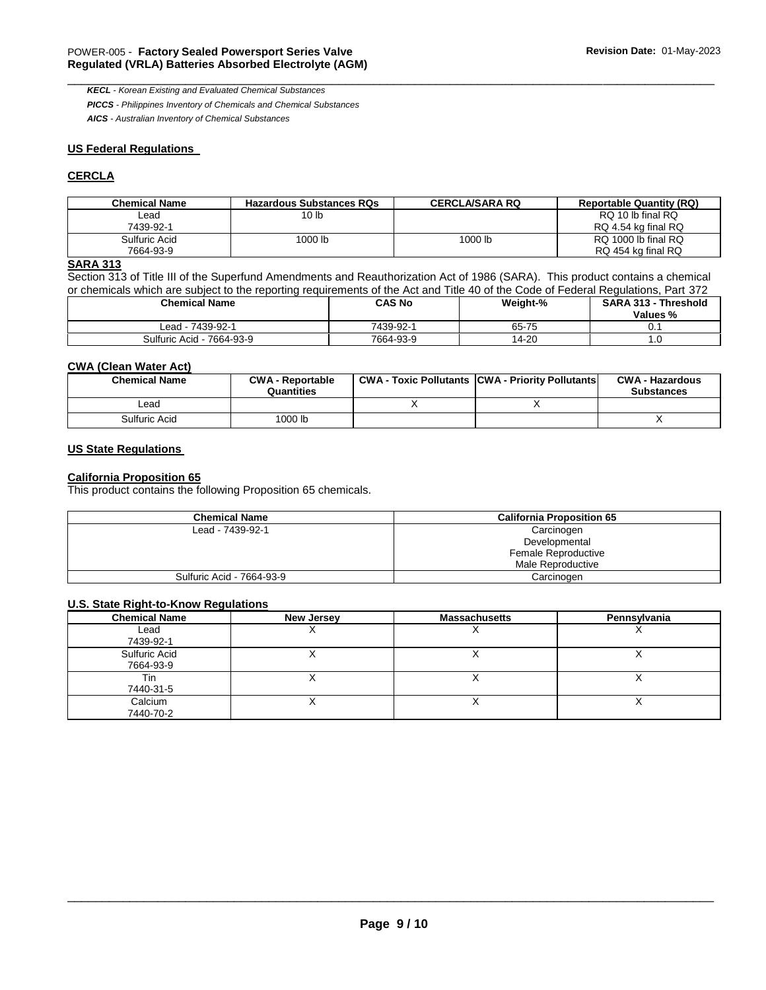*KECL - Korean Existing and Evaluated Chemical Substances PICCS - Philippines Inventory of Chemicals and Chemical Substances* 

*AICS - Australian Inventory of Chemical Substances* 

## **US Federal Regulations**

# **CERCLA**

| <b>Chemical Name</b> | <b>Hazardous Substances RQs</b> | <b>CERCLA/SARA RQ</b> | <b>Reportable Quantity (RQ)</b> |
|----------------------|---------------------------------|-----------------------|---------------------------------|
| Lead                 | 10 <sub>h</sub>                 |                       | RQ 10 lb final RQ               |
| 7439-92-1            |                                 |                       | RQ 4.54 kg final RQ             |
| Sulfuric Acid        | 1000 lb                         | 1000 lb               | RQ 1000 lb final RQ             |
| 7664-93-9            |                                 |                       | RQ 454 kg final RQ              |

\_\_\_\_\_\_\_\_\_\_\_\_\_\_\_\_\_\_\_\_\_\_\_\_\_\_\_\_\_\_\_\_\_\_\_\_\_\_\_\_\_\_\_\_\_\_\_\_\_\_\_\_\_\_\_\_\_\_\_\_\_\_\_\_\_\_\_\_\_\_\_\_\_\_\_\_\_\_\_\_\_\_\_\_\_\_\_\_\_\_\_\_\_

# **SARA 313**

Section 313 of Title III of the Superfund Amendments and Reauthorization Act of 1986 (SARA). This product contains a chemical or chemicals which are subject to the reporting requirements of the Act and Title 40 of the Code of Federal Regulations, Part 372

| <b>Chemical Name</b>      | CAS No    | Weight-% | SARA 313 - Threshold<br>Values % |
|---------------------------|-----------|----------|----------------------------------|
| ead - 7439-92-1-          | 7439-92-1 | 65-75    | U.                               |
| Sulfuric Acid - 7664-93-9 | 7664-93-9 | 14-20    | ں.                               |

## **CWA (Clean Water Act)**

| <b>Chemical Name</b> | <b>CWA - Reportable</b><br>Quantities | <b>CWA - Toxic Pollutants CWA - Priority Pollutants</b> | <b>CWA - Hazardous</b><br><b>Substances</b> |
|----------------------|---------------------------------------|---------------------------------------------------------|---------------------------------------------|
| _ead                 |                                       |                                                         |                                             |
| Sulfuric Acid        | 1000 lb                               |                                                         |                                             |

### **US State Regulations**

## **California Proposition 65**

This product contains the following Proposition 65 chemicals.

| <b>Chemical Name</b>      | <b>California Proposition 65</b> |
|---------------------------|----------------------------------|
| Lead - 7439-92-1          | Carcinogen                       |
|                           | Developmental                    |
|                           | Female Reproductive              |
|                           | Male Reproductive                |
| Sulfuric Acid - 7664-93-9 | Carcinogen                       |

#### **U.S. State Right-to-Know Regulations**

| <b>Chemical Name</b>       | New Jersey | <b>Massachusetts</b> | Pennsylvania |
|----------------------------|------------|----------------------|--------------|
| Lead<br>7439-92-1          |            | ,                    |              |
| Sulfuric Acid<br>7664-93-9 |            | . .                  |              |
| Tin<br>7440-31-5           |            |                      |              |
| Calcium<br>7440-70-2       | ↗          | ,                    |              |